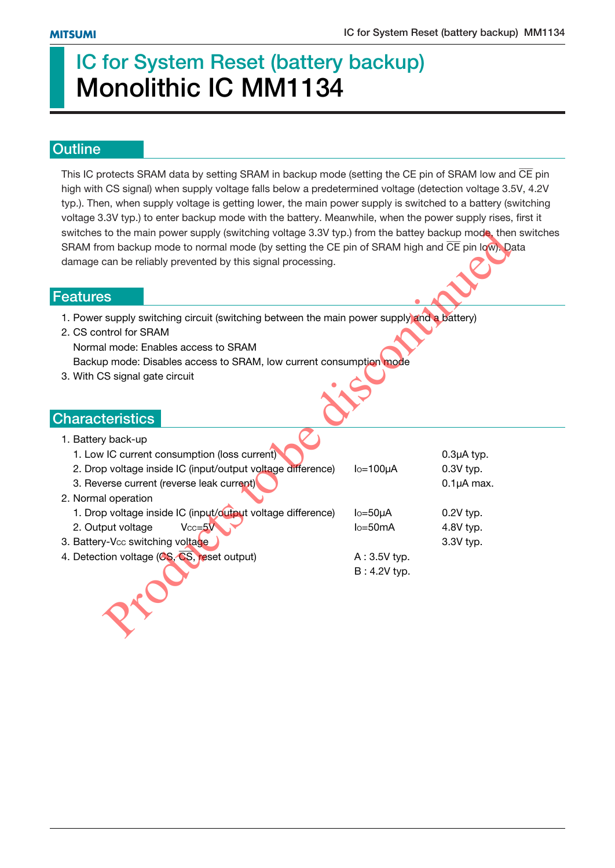# **IC for System Reset (battery backup) Monolithic IC MM1134**

### **Outline**

This IC protects SRAM data by setting SRAM in backup mode (setting the CE pin of SRAM low and  $\overline{\text{CE}}$  pin high with CS signal) when supply voltage falls below a predetermined voltage (detection voltage 3.5V, 4.2V typ.). Then, when supply voltage is getting lower, the main power supply is switched to a battery (switching voltage 3.3V typ.) to enter backup mode with the battery. Meanwhile, when the power supply rises, first it switches to the main power supply (switching voltage 3.3V typ.) from the battey backup mode, then switches SRAM from backup mode to normal mode (by setting the CE pin of SRAM high and CE pin low). Data damage can be reliably prevented by this signal processing.

#### **Features**

- 1. Power supply switching circuit (switching between the main power supply and a battery)
- 2. CS control for SRAM Normal mode: Enables access to SRAM Backup mode: Disables access to SRAM, low current consumption mode
- 3. With CS signal gate circuit

### **Characteristics**

| switches to the main power supply (switching voltage 3.3V typ.) from the battey backup mode, ther<br>SRAM from backup mode to normal mode (by setting the CE pin of SRAM high and CE pin low). Da<br>damage can be reliably prevented by this signal processing.   |                                                              |                                                   |  |  |  |  |
|--------------------------------------------------------------------------------------------------------------------------------------------------------------------------------------------------------------------------------------------------------------------|--------------------------------------------------------------|---------------------------------------------------|--|--|--|--|
| eatures                                                                                                                                                                                                                                                            |                                                              |                                                   |  |  |  |  |
| 1. Power supply switching circuit (switching between the main power supply and a battery)<br>2. CS control for SRAM<br>Normal mode: Enables access to SRAM<br>Backup mode: Disables access to SRAM, low current consumption mode<br>3. With CS signal gate circuit |                                                              |                                                   |  |  |  |  |
| haracteristics                                                                                                                                                                                                                                                     |                                                              |                                                   |  |  |  |  |
| 1. Battery back-up<br>1. Low IC current consumption (loss current)<br>2. Drop voltage inside IC (input/output voltage difference)<br>3. Reverse current (reverse leak current)<br>2. Normal operation                                                              | $I_0 = 100 \mu A$                                            | $0.3\mu A$ typ.<br>$0.3V$ typ.<br>$0.1\mu A$ max. |  |  |  |  |
| 1. Drop voltage inside IC (input/output voltage difference)<br>2. Output voltage<br>$Vcc = 5V$<br>3. Battery-Vcc switching voltage<br>4. Detection voltage (CS, CS, reset output)                                                                                  | $Io=50\mu A$<br>$lo = 50mA$<br>$A:3.5V$ typ.<br>B: 4.2V typ. | $0.2V$ typ.<br>4.8V typ.<br>3.3V typ.             |  |  |  |  |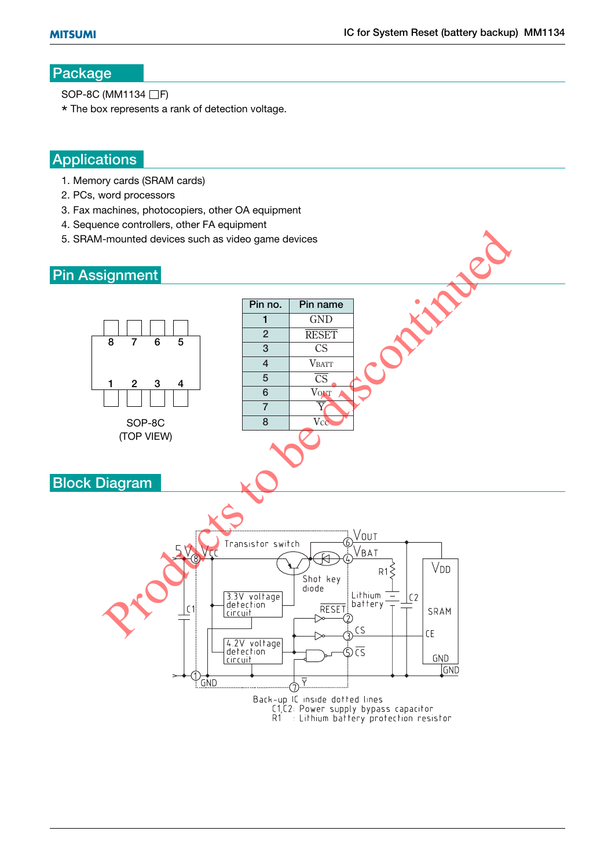### **Package**

SOP-8C (MM1134 □F)

\* The box represents a rank of detection voltage.

### **Applications**

- 1. Memory cards (SRAM cards)
- 2. PCs, word processors
- 3. Fax machines, photocopiers, other OA equipment
- 4. Sequence controllers, other FA equipment
- 5. SRAM-mounted devices such as video game devices

### **Pin Assignment**

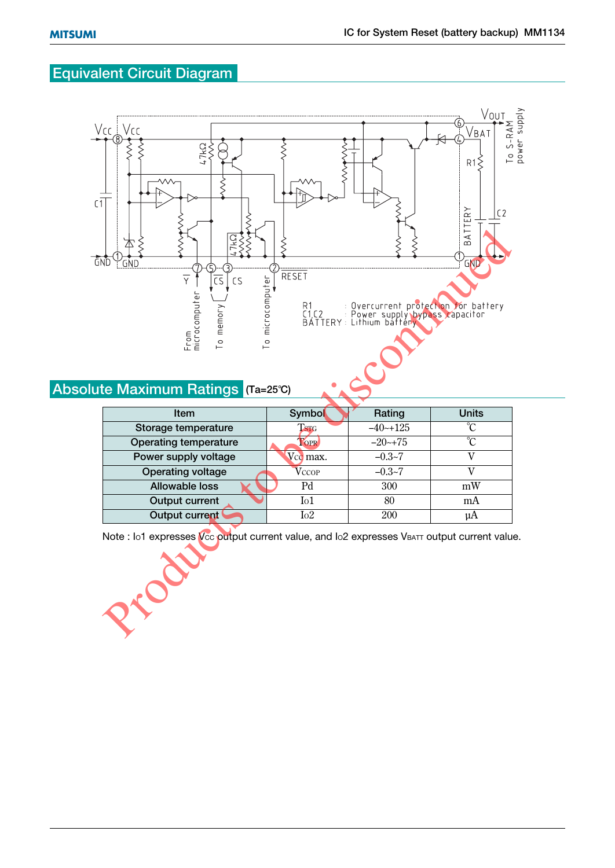# **Equivalent Circuit Diagram**



## **Absolute Maximum Ratings (Ta=25°C)**

| <b>Item</b>                  | <b>Symbol</b>                   | Rating       | <b>Units</b> |  |
|------------------------------|---------------------------------|--------------|--------------|--|
| Storage temperature          | T <sub>STG</sub>                | $-40$ $-125$ | °∩           |  |
| <b>Operating temperature</b> | TOPR                            | $-20$ $-175$ | °∩           |  |
| Power supply voltage         | V <sub>c</sub> <sub>max</sub> . | $-0.3 - 7$   |              |  |
| Operating voltage            | <b>V</b> CCOP                   | $-0.3 - 7$   |              |  |
| Allowable loss               | Pd                              | 300          | mW           |  |
| <b>Output current</b>        | I <sub>01</sub>                 | 80           | mA           |  |
| Output current               | I <sub>0</sub> 2                | 200          | uA           |  |

Note : Io1 expresses V<sub>cc</sub> putput current value, and Io2 expresses VBATT output current value.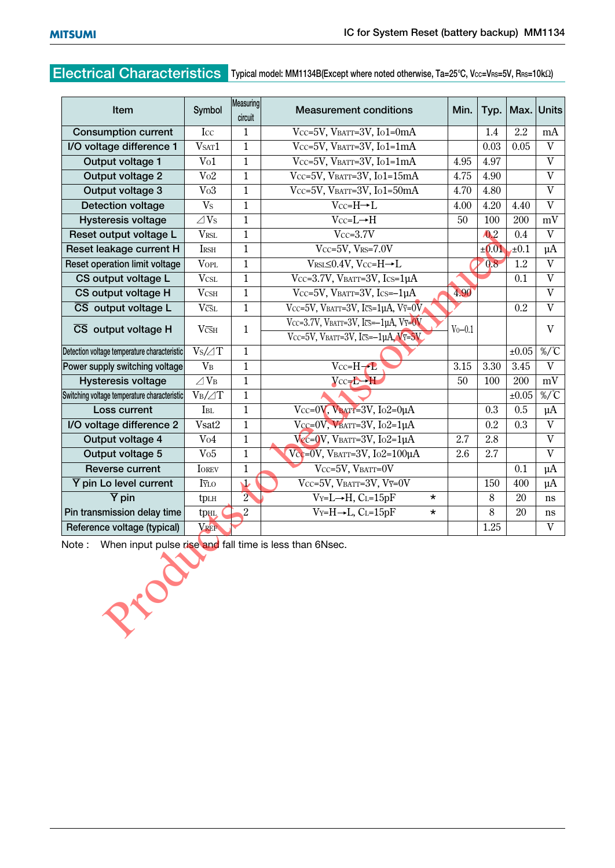## **Electrical Characteristics Typical model: MM1134B(Except where noted otherwise, Ta=25°C, Vcc=VRS=5V, RRS=10kΩ)**

| Item                                                                     | Symbol                           | Measuring<br>circuit | <b>Measurement conditions</b>                                                                       | Min.        | Typ.                   | Max.                 | <b>Units</b>              |
|--------------------------------------------------------------------------|----------------------------------|----------------------|-----------------------------------------------------------------------------------------------------|-------------|------------------------|----------------------|---------------------------|
| <b>Consumption current</b>                                               | Icc                              | $\mathbf{1}$         | Vcc=5V, VBATT=3V, Io1=0mA                                                                           |             | 1.4                    | 2.2                  | mA                        |
| I/O voltage difference 1                                                 | V <sub>SAT</sub> 1               | $\mathbf{1}$         | Vcc=5V, VBATT=3V, Io1=1mA                                                                           |             | 0.03                   | 0.05                 | $\overline{V}$            |
| Output voltage 1                                                         | Vo1                              | $\mathbf{1}$         | Vcc=5V, VBATT=3V, Io1=1mA                                                                           | 4.95        | 4.97                   |                      | V                         |
| Output voltage 2                                                         | Vo2                              | $\mathbf{1}$         | Vcc=5V, VBATT=3V, Io1=15mA                                                                          |             | 4.90                   |                      | $\mathbf V$               |
| Output voltage 3                                                         | Vo3                              | $\mathbf{1}$         | Vcc=5V, VBATT=3V, Io1=50mA                                                                          |             | 4.80                   |                      | $\mathbf{V}$              |
| <b>Detection voltage</b>                                                 | V <sub>S</sub>                   | $\mathbf{1}$         | $Vcc=H\rightarrow L$                                                                                |             | 4.20                   | 4.40                 | V                         |
| <b>Hysteresis voltage</b>                                                | $\angle$ Vs                      | $\mathbf{1}$         | $Vcc=L \rightarrow H$                                                                               |             | 100                    | 200                  | mV                        |
| Reset output voltage L                                                   | <b>VRSL</b>                      | $\mathbf{1}$         | $Vcc=3.7V$                                                                                          |             | $\ddot{\mathbf{0}}$ .2 | 0.4                  | $\mathbf{V}$              |
| Reset leakage current H                                                  | <b>IRSH</b>                      | $\mathbf{1}$         | $Vcc=5V$ , $V_{RS}=7.0V$                                                                            |             | ±0.01                  | $t_{\pm}0.1$         | $\mu A$                   |
| Reset operation limit voltage                                            | <b>VOPL</b>                      | $\mathbf{1}$         | VRSL $\leq$ 0.4V, Vcc=H $\rightarrow$ L                                                             |             | 0.8                    | 1.2                  | $\mathbf{V}$              |
| CS output voltage L                                                      | <b>VCSL</b>                      | $\mathbf{1}$         | Vcc=3.7V, VBATT=3V, Ics=1 $\mu$ A                                                                   |             |                        | 0.1                  | $\ensuremath{\mathbf{V}}$ |
| CS output voltage H                                                      | $V_{\rm CSH}$                    | $\mathbf{1}$         | Vcc=5V, VBATT=3V, Ics=-1µA                                                                          | 4.90        |                        |                      | $\mathbf{V}$              |
| $\overline{\text{CS}}$ output voltage L                                  | $V\overline{\text{CSL}}$         | $\mathbf{1}$         | Vcc=5V, VBATT=3V, Ics=1µA, V $\overline{Y}$ =0V                                                     |             |                        | 0.2                  | $\overline{V}$            |
| $\overline{\text{CS}}$ output voltage H                                  | $V\overline{\text{c}}\text{S}$ H | $\mathbf{1}$         | Vcc=3.7V, VBATT=3V, Ics= $-1\mu$ A, V $\overline{y}=0$ V<br>Vcc=5V, VBATT=3V, Ics= $-1\mu$ A, Vy=5V | $V_0 - 0.1$ |                        |                      | V                         |
| Detection voltage temperature characteristic                             | $Vs/ \angle T$                   | $\mathbf{1}$         |                                                                                                     |             |                        | $\overline{\pm}0.05$ | $\%$ /°C                  |
| Power supply switching voltage                                           | V <sub>B</sub>                   | $\mathbf{1}$         | $Vcc=H-2$                                                                                           | 3.15        | 3.30                   | 3.45                 | $\ensuremath{\mathbf{V}}$ |
| Hysteresis voltage                                                       | $\angle$ VB                      | $\mathbf{1}$         | $Vcc$ -H                                                                                            | 50          | 100                    | 200                  | $\mathrm{mV}$             |
| Switching voltage temperature characteristic                             | $V_B/\text{AT}$                  | $\mathbf{1}$         |                                                                                                     |             |                        | ±0.05                | $\%$ /°C                  |
| Loss current                                                             | <b>I</b> BL                      | $\mathbf{1}$         | Vcc=0V, VBATT=3V, Io2=0µA                                                                           |             | 0.3                    | 0.5                  | $\mu$ A                   |
| I/O voltage difference 2                                                 | Vsat2                            | $\mathbf{1}$         | Vcc=0V, VBATT=3V, Io2=1 $\mu$ A                                                                     |             | 0.2                    | 0.3                  | $\mathbf{V}$              |
| Output voltage 4                                                         | V <sub>04</sub>                  | $\mathbf{1}$         | $V_{\text{EC}}=0$ V, VBATT=3V, Io2=1µA                                                              | 2.7         | 2.8                    |                      | $\ensuremath{\mathbf{V}}$ |
| Output voltage 5                                                         | Vo5                              | $\mathbf{1}$         | Vcc=0V, VBATT=3V, Io2=100 $\mu$ A                                                                   | 2.6         | 2.7                    |                      | $\mathbf{V}$              |
| <b>Reverse current</b>                                                   | <b>IOREV</b>                     | $\mathbf{1}$         | Vcc=5V, VBATT=0V                                                                                    |             |                        | 0.1                  | $\mu A$                   |
| $\overline{Y}$ pin Lo level current                                      | I $\bar{v}$ lo                   | 业                    | Vcc=5V, VBATT=3V, Vv=0V                                                                             |             | 150                    | 400                  | μA                        |
| $\overline{Y}$ pin                                                       | tpLH                             | $\overline{2}$       | $V_Y = L \rightarrow H$ , CL=15pF<br>$\star$                                                        |             | 8                      | 20                   | ns                        |
| Pin transmission delay time                                              | tpHL                             | $\overline{c}$       | $V_Y = H \rightarrow L$ , CL=15pF<br>¥                                                              |             | 8                      | 20                   | ns                        |
| Reference voltage (typical)                                              | VREF                             |                      |                                                                                                     |             | 1.25                   |                      | $\mathbf V$               |
| Note: When input pulse rise and fall time is less than 6Nsec.<br>Process |                                  |                      |                                                                                                     |             |                        |                      |                           |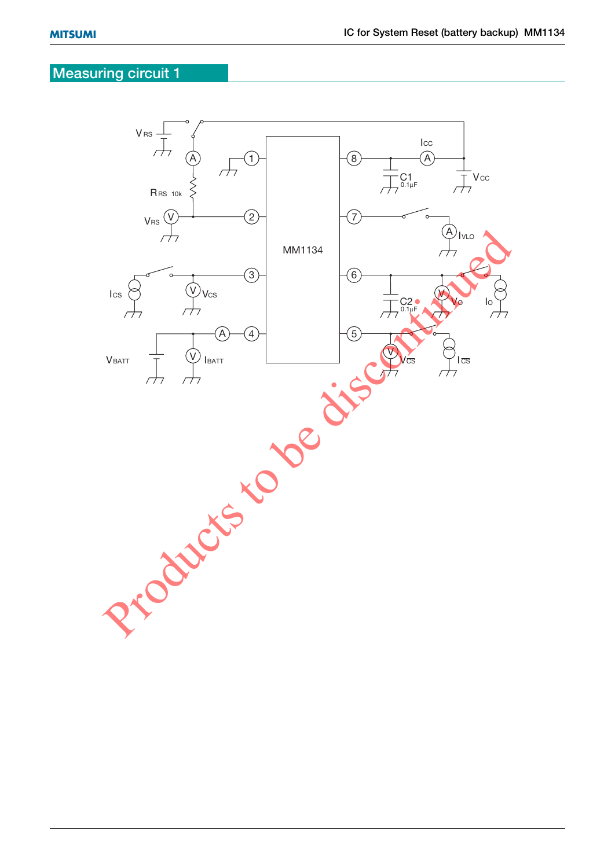### **Measuring circuit 1**

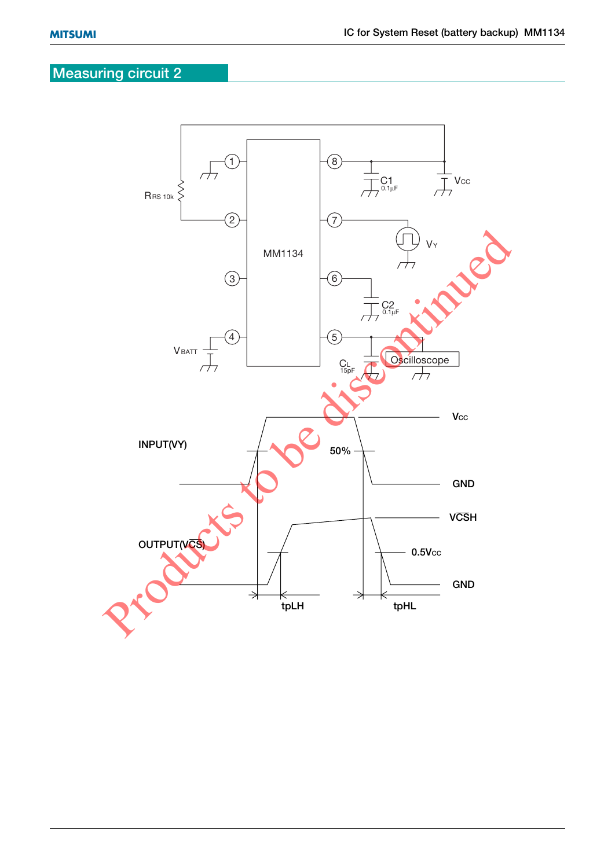# **Measuring circuit 2**

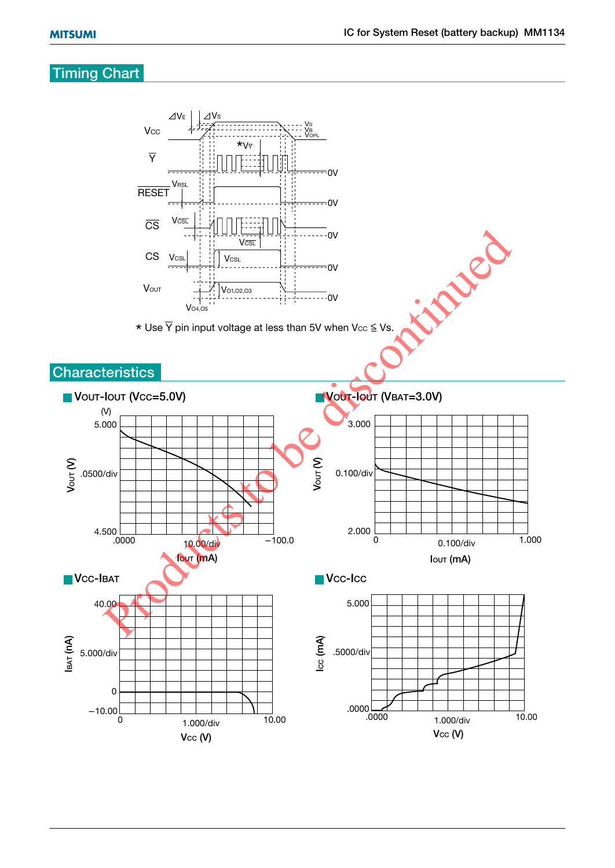### **Timing Chart**